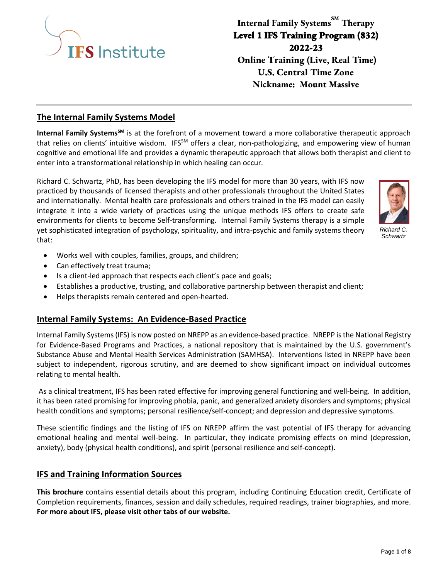

**Internal Family Systems**<sup>SM</sup> Therapy **Level 1 IFS Training Program (832) 2022-23 Online Training (Live, Real Time) U.S. Central Time Zone Nickname: Mount Massive**

## **The Internal Family Systems Model**

**Internal Family SystemsSM** is at the forefront of a movement toward a more collaborative therapeutic approach that relies on clients' intuitive wisdom. IFS<sup>SM</sup> offers a clear, non-pathologizing, and empowering view of human cognitive and emotional life and provides a dynamic therapeutic approach that allows both therapist and client to enter into a transformational relationship in which healing can occur.

Richard C. Schwartz, PhD, has been developing the IFS model for more than 30 years, with IFS now practiced by thousands of licensed therapists and other professionals throughout the United States and internationally. Mental health care professionals and others trained in the IFS model can easily integrate it into a wide variety of practices using the unique methods IFS offers to create safe environments for clients to become Self-transforming. Internal Family Systems therapy is a simple yet sophisticated integration of psychology, spirituality, and intra-psychic and family systems theory that:



*Richard C. Schwartz*

- Works well with couples, families, groups, and children;
- Can effectively treat trauma;
- Is a client-led approach that respects each client's pace and goals;
- Establishes a productive, trusting, and collaborative partnership between therapist and client;
- Helps therapists remain centered and open-hearted.

### **Internal Family Systems: An Evidence-Based Practice**

Internal Family Systems (IFS) is now posted on NREPP as an evidence-based practice. NREPP is the National Registry for Evidence-Based Programs and Practices, a national repository that is maintained by the U.S. government's Substance Abuse and Mental Health Services Administration (SAMHSA). Interventions listed in NREPP have been subject to independent, rigorous scrutiny, and are deemed to show significant impact on individual outcomes relating to mental health.

As a clinical treatment, IFS has been rated effective for improving general functioning and well-being. In addition, it has been rated promising for improving phobia, panic, and generalized anxiety disorders and symptoms; physical health conditions and symptoms; personal resilience/self-concept; and depression and depressive symptoms.

These scientific findings and the listing of IFS on NREPP affirm the vast potential of IFS therapy for advancing emotional healing and mental well-being. In particular, they indicate promising effects on mind (depression, anxiety), body (physical health conditions), and spirit (personal resilience and self-concept).

### **IFS and Training Information Sources**

**This brochure** contains essential details about this program, including Continuing Education credit, Certificate of Completion requirements, finances, session and daily schedules, required readings, trainer biographies, and more. **For more about IFS, please visit other tabs of our website.**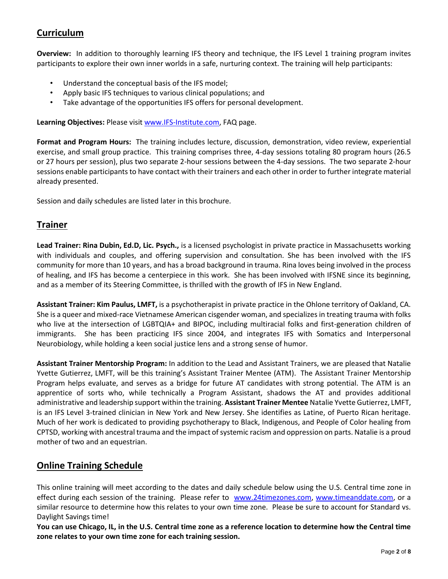# **Curriculum**

**Overview:** In addition to thoroughly learning IFS theory and technique, the IFS Level 1 training program invites participants to explore their own inner worlds in a safe, nurturing context. The training will help participants:

- Understand the conceptual basis of the IFS model;
- Apply basic IFS techniques to various clinical populations; and
- Take advantage of the opportunities IFS offers for personal development.

**Learning Objectives:** Please visit [www.IFS-Institute.com,](http://www.selfleadership.org/) FAQ page.

**Format and Program Hours:** The training includes lecture, discussion, demonstration, video review, experiential exercise, and small group practice. This training comprises three, 4-day sessions totaling 80 program hours (26.5 or 27 hours per session), plus two separate 2-hour sessions between the 4-day sessions. The two separate 2-hour sessions enable participants to have contact with their trainers and each other in order to further integrate material already presented.

Session and daily schedules are listed later in this brochure.

## **Trainer**

**Lead Trainer: Rina Dubin, Ed.D, Lic. Psych.,** is a licensed psychologist in private practice in Massachusetts working with individuals and couples, and offering supervision and consultation. She has been involved with the IFS community for more than 10 years, and has a broad background in trauma. Rina loves being involved in the process of healing, and IFS has become a centerpiece in this work. She has been involved with IFSNE since its beginning, and as a member of its Steering Committee, is thrilled with the growth of IFS in New England.

**Assistant Trainer: Kim Paulus, LMFT,** is a psychotherapist in private practice in the Ohlone territory of Oakland, CA. She is a queer and mixed-race Vietnamese American cisgender woman, and specializes in treating trauma with folks who live at the intersection of LGBTQIA+ and BIPOC, including multiracial folks and first-generation children of immigrants. She has been practicing IFS since 2004, and integrates IFS with Somatics and Interpersonal Neurobiology, while holding a keen social justice lens and a strong sense of humor.

**Assistant Trainer Mentorship Program:** In addition to the Lead and Assistant Trainers, we are pleased that Natalie Yvette Gutierrez, LMFT, will be this training's Assistant Trainer Mentee (ATM). The Assistant Trainer Mentorship Program helps evaluate, and serves as a bridge for future AT candidates with strong potential. The ATM is an apprentice of sorts who, while technically a Program Assistant, shadows the AT and provides additional administrative and leadership support within the training. **Assistant Trainer Mentee** Natalie Yvette Gutierrez, LMFT, is an IFS Level 3-trained clinician in New York and New Jersey. She identifies as Latine, of Puerto Rican heritage. Much of her work is dedicated to providing psychotherapy to Black, Indigenous, and People of Color healing from CPTSD, working with ancestral trauma and the impact of systemic racism and oppression on parts. Natalie is a proud mother of two and an equestrian.

# **Online Training Schedule**

This online training will meet according to the dates and daily schedule below using the U.S. Central time zone in effect during each session of the training. Please refer to [www.24timezones.com,](http://www.24timezones.com/) [www.timeanddate.com,](http://www.timeanddate.com/) or a similar resource to determine how this relates to your own time zone. Please be sure to account for Standard vs. Daylight Savings time!

**You can use Chicago, IL, in the U.S. Central time zone as a reference location to determine how the Central time zone relates to your own time zone for each training session.**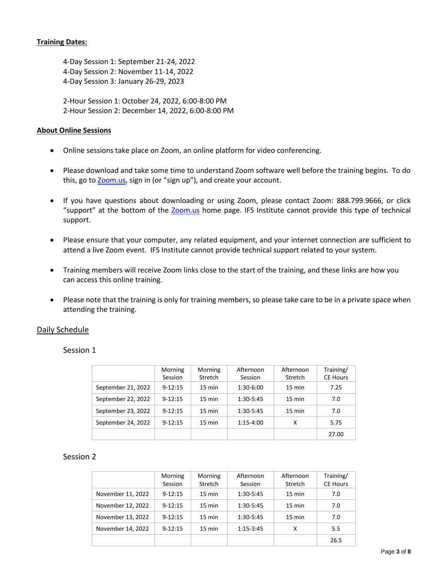### **Training Dates:**

4-Day Session 1: September 21-24, 2022 4-Day Session 2: November 11-14, 2022 4-Day Session 3: January 26-29, 2023

2-Hour Session 1: October 24, 2022, 6:00-8:00 PM 2-Hour Session 2: December 14, 2022, 6:00-8:00 PM

#### **About Online Sessions**

- Online sessions take place on Zoom, an online platform for video conferencing.
- Please download and take some time to understand Zoom software well before the training begins. To do this, go to **Zoom.us**, sign in (or "sign up"), and create your account.
- If you have questions about downloading or using Zoom, please contact Zoom: 888.799.9666, or click "support" at the bottom of the [Zoom.us](https://zoom.us/) home page. IFS Institute cannot provide this type of technical support.
- Please ensure that your computer, any related equipment, and your internet connection are sufficient to attend a live Zoom event. IFS Institute cannot provide technical support related to your system.
- Training members will receive Zoom links close to the start of the training, and these links are how you can access this online training.
- Please note that the training is only for training members, so please take care to be in a private space when attending the training.

### Daily Schedule

Session 1

|                    | Morning<br>Session | Morning<br>Stretch | Afternoon<br>Session | Afternoon<br><b>Stretch</b> | Training/<br><b>CE Hours</b> |
|--------------------|--------------------|--------------------|----------------------|-----------------------------|------------------------------|
| September 21, 2022 | $9 - 12:15$        | $15 \text{ min}$   | 1:30-6:00            | $15 \text{ min}$            | 7.25                         |
| September 22, 2022 | $9 - 12:15$        | $15 \text{ min}$   | 1:30-5:45            | $15 \text{ min}$            | 7.0                          |
| September 23, 2022 | $9 - 12:15$        | $15 \text{ min}$   | 1:30-5:45            | $15 \text{ min}$            | 7.0                          |
| September 24, 2022 | $9 - 12:15$        | $15 \text{ min}$   | 1:15-4:00            | x                           | 5.75                         |
|                    |                    |                    |                      |                             | 27.00                        |

### Session 2

|                   | Morning     | Morning          | Afternoon   | Afternoon        | Training/       |
|-------------------|-------------|------------------|-------------|------------------|-----------------|
|                   | Session     | Stretch          | Session     | Stretch          | <b>CE Hours</b> |
| November 11, 2022 | $9 - 12:15$ | $15 \text{ min}$ | 1:30-5:45   | $15 \text{ min}$ | 7.0             |
| November 12, 2022 | $9 - 12:15$ | $15 \text{ min}$ | 1:30-5:45   | $15 \text{ min}$ | 7.0             |
| November 13, 2022 | $9 - 12:15$ | $15 \text{ min}$ | 1:30-5:45   | $15 \text{ min}$ | 7.0             |
| November 14, 2022 | $9 - 12:15$ | $15 \text{ min}$ | $1:15-3:45$ | x                | 5.5             |
|                   |             |                  |             |                  | 26.5            |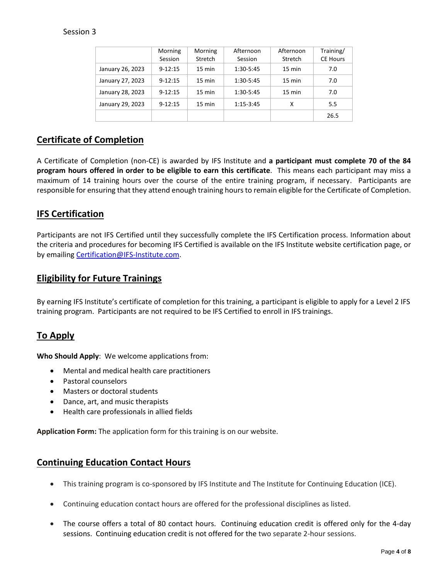### Session 3

|                  | Morning<br>Session | Morning<br>Stretch | Afternoon<br>Session | Afternoon<br>Stretch | Training/<br><b>CE Hours</b> |
|------------------|--------------------|--------------------|----------------------|----------------------|------------------------------|
| January 26, 2023 | $9 - 12:15$        | $15 \text{ min}$   | 1:30-5:45            | $15 \text{ min}$     | 7.0                          |
| January 27, 2023 | $9 - 12:15$        | $15 \text{ min}$   | 1:30-5:45            | $15 \text{ min}$     | 7.0                          |
| January 28, 2023 | $9 - 12:15$        | 15 min             | 1:30-5:45            | 15 min               | 7.0                          |
| January 29, 2023 | $9 - 12:15$        | 15 min             | $1:15-3:45$          | x                    | 5.5                          |
|                  |                    |                    |                      |                      | 26.5                         |

# **Certificate of Completion**

A Certificate of Completion (non-CE) is awarded by IFS Institute and **a participant must complete 70 of the 84 program hours offered in order to be eligible to earn this certificate**. This means each participant may miss a maximum of 14 training hours over the course of the entire training program, if necessary. Participants are responsible for ensuring that they attend enough training hours to remain eligible for the Certificate of Completion.

# **IFS Certification**

Participants are not IFS Certified until they successfully complete the IFS Certification process. Information about the criteria and procedures for becoming IFS Certified is available on the IFS Institute website certification page, or by emailing [Certification@IFS-Institute.com.](mailto:Certification@IFS-Institute.com)

# **Eligibility for Future Trainings**

By earning IFS Institute's certificate of completion for this training, a participant is eligible to apply for a Level 2 IFS training program. Participants are not required to be IFS Certified to enroll in IFS trainings.

## **To Apply**

**Who Should Apply**: We welcome applications from:

- Mental and medical health care practitioners
- Pastoral counselors
- Masters or doctoral students
- Dance, art, and music therapists
- Health care professionals in allied fields

**Application Form:** The application form for this training is on our website.

### **Continuing Education Contact Hours**

- This training program is co-sponsored by IFS Institute and The Institute for Continuing Education (ICE).
- Continuing education contact hours are offered for the professional disciplines as listed.
- The course offers a total of 80 contact hours. Continuing education credit is offered only for the 4-day sessions. Continuing education credit is not offered for the two separate 2-hour sessions.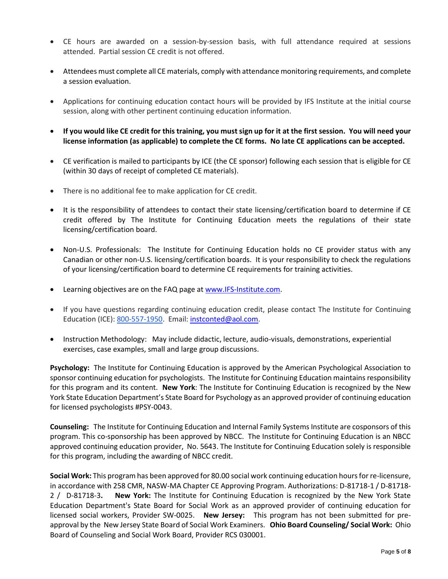- CE hours are awarded on a session-by-session basis, with full attendance required at sessions attended. Partial session CE credit is not offered.
- Attendees must complete all CE materials, comply with attendance monitoring requirements, and complete a session evaluation.
- Applications for continuing education contact hours will be provided by IFS Institute at the initial course session, along with other pertinent continuing education information.
- **If you would like CE credit for this training, you must sign up for it at the first session. You will need your license information (as applicable) to complete the CE forms. No late CE applications can be accepted.**
- CE verification is mailed to participants by ICE (the CE sponsor) following each session that is eligible for CE (within 30 days of receipt of completed CE materials).
- There is no additional fee to make application for CE credit.
- It is the responsibility of attendees to contact their state licensing/certification board to determine if CE credit offered by The Institute for Continuing Education meets the regulations of their state licensing/certification board.
- Non-U.S. Professionals: The Institute for Continuing Education holds no CE provider status with any Canadian or other non-U.S. licensing/certification boards. It is your responsibility to check the regulations of your licensing/certification board to determine CE requirements for training activities.
- Learning objectives are on the FAQ page a[t www.IFS-Institute.com.](http://www.selfleadership.org/)
- If you have questions regarding continuing education credit, please contact The Institute for Continuing Education (ICE): 800-557-1950. Email: [instconted@aol.com.](mailto:instconted@aol.com)
- Instruction Methodology: May include didactic, lecture, audio-visuals, demonstrations, experiential exercises, case examples, small and large group discussions.

**Psychology:** The Institute for Continuing Education is approved by the American Psychological Association to sponsor continuing education for psychologists. The Institute for Continuing Education maintains responsibility for this program and its content. **New York**: The Institute for Continuing Education is recognized by the New York State Education Department's State Board for Psychology as an approved provider of continuing education for licensed psychologists #PSY-0043.

**Counseling:** The Institute for Continuing Education and Internal Family Systems Institute are cosponsors of this program. This co-sponsorship has been approved by NBCC. The Institute for Continuing Education is an NBCC approved continuing education provider, No. 5643. The Institute for Continuing Education solely is responsible for this program, including the awarding of NBCC credit.

**Social Work:** This program has been approved for 80.00 social work continuing education hours for re-licensure, in accordance with 258 CMR, NASW-MA Chapter CE Approving Program. Authorizations: D-81718-1 / D-81718- 2 / D-81718-3**. New York:** The Institute for Continuing Education is recognized by the New York State Education Department's State Board for Social Work as an approved provider of continuing education for licensed social workers, Provider SW-0025. **New Jersey:** This program has not been submitted for preapproval by the New Jersey State Board of Social Work Examiners. **Ohio Board Counseling/ Social Work:** Ohio Board of Counseling and Social Work Board, Provider RCS 030001.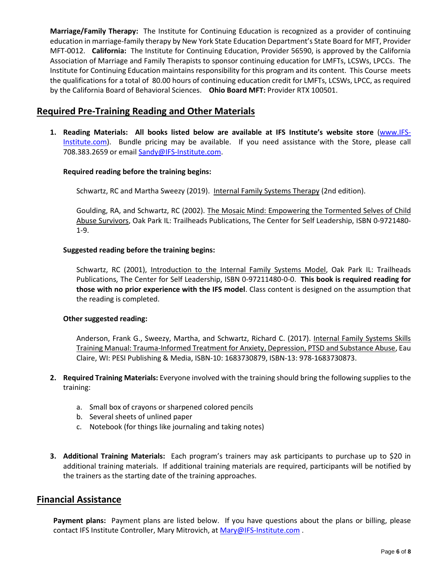**Marriage/Family Therapy:** The Institute for Continuing Education is recognized as a provider of continuing education in marriage-family therapy by New York State Education Department's State Board for MFT, Provider MFT-0012. **California:** The Institute for Continuing Education, Provider 56590, is approved by the California Association of Marriage and Family Therapists to sponsor continuing education for LMFTs, LCSWs, LPCCs. The Institute for Continuing Education maintains responsibility for this program and its content. This Course meets the qualifications for a total of 80.00 hours of continuing education credit for LMFTs, LCSWs, LPCC, as required by the California Board of Behavioral Sciences. **Ohio Board MFT:** Provider RTX 100501.

## **Required Pre-Training Reading and Other Materials**

**1. Reading Materials: All books listed below are available at IFS Institute's website store** [\(www.IFS-](http://www.selfleadership.org/)[Institute.com\)](http://www.selfleadership.org/). Bundle pricing may be available. If you need assistance with the Store, please call 708.383.2659 or email Sandy@IFS-Institute.com.

### **Required reading before the training begins:**

Schwartz, RC and Martha Sweezy (2019). Internal Family Systems Therapy (2nd edition).

Goulding, RA, and Schwartz, RC (2002). The Mosaic Mind: Empowering the Tormented Selves of Child Abuse Survivors, Oak Park IL: Trailheads Publications, The Center for Self Leadership, ISBN 0-9721480- 1-9.

### **Suggested reading before the training begins:**

Schwartz, RC (2001), Introduction to the Internal Family Systems Model, Oak Park IL: Trailheads Publications, The Center for Self Leadership, ISBN 0-97211480-0-0. **This book is required reading for those with no prior experience with the IFS model**. Class content is designed on the assumption that the reading is completed.

### **Other suggested reading:**

Anderson, Frank G., Sweezy, Martha, and Schwartz, Richard C. (2017). Internal Family Systems Skills Training Manual: Trauma-Informed Treatment for Anxiety, Depression, PTSD and Substance Abuse, Eau Claire, WI: PESI Publishing & Media, ISBN-10: 1683730879, ISBN-13: 978-1683730873.

- **2. Required Training Materials:** Everyone involved with the training should bring the following supplies to the training:
	- a. Small box of crayons or sharpened colored pencils
	- b. Several sheets of unlined paper
	- c. Notebook (for things like journaling and taking notes)
- **3. Additional Training Materials:** Each program's trainers may ask participants to purchase up to \$20 in additional training materials. If additional training materials are required, participants will be notified by the trainers as the starting date of the training approaches.

## **Financial Assistance**

**Payment plans:** Payment plans are listed below. If you have questions about the plans or billing, please contact IFS Institute Controller, Mary Mitrovich, at [Mary@IFS-Institute.com](mailto:Mary@IFS-Institute.com).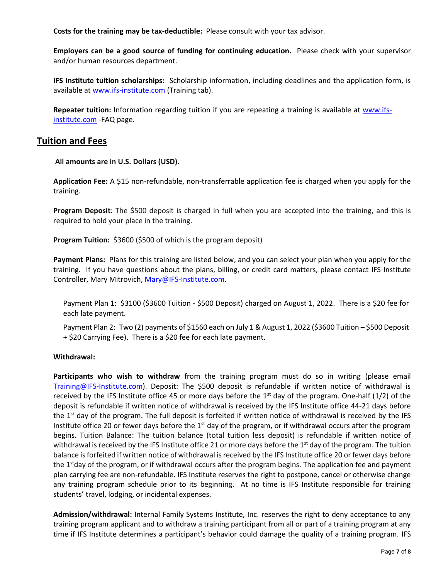**Costs for the training may be tax-deductible:** Please consult with your tax advisor.

**Employers can be a good source of funding for continuing education.** Please check with your supervisor and/or human resources department.

**IFS Institute tuition scholarships:** Scholarship information, including deadlines and the application form, is available a[t www.ifs-institute.com](http://www.ifs-institute.com/) (Training tab).

**Repeater tuition:** Information regarding tuition if you are repeating a training is available at [www.ifs](http://www.ifs-institute.com/)[institute.com](http://www.ifs-institute.com/) -FAQ page.

## **Tuition and Fees**

**All amounts are in U.S. Dollars (USD).**

**Application Fee:** A \$15 non-refundable, non-transferrable application fee is charged when you apply for the training.

**Program Deposit**: The \$500 deposit is charged in full when you are accepted into the training, and this is required to hold your place in the training.

**Program Tuition:** \$3600 (\$500 of which is the program deposit)

**Payment Plans:** Plans for this training are listed below, and you can select your plan when you apply for the training. If you have questions about the plans, billing, or credit card matters, please contact IFS Institute Controller, Mary Mitrovich[, Mary@IFS-Institute.com.](mailto:Mary@IFS-Institute.com)

Payment Plan 1: \$3100 (\$3600 Tuition - \$500 Deposit) charged on August 1, 2022. There is a \$20 fee for each late payment.

Payment Plan 2: Two (2) payments of \$1560 each on July 1 & August 1, 2022 (\$3600 Tuition – \$500 Deposit + \$20 Carrying Fee). There is a \$20 fee for each late payment.

#### **Withdrawal:**

**Participants who wish to withdraw** from the training program must do so in writing (please email [Training@IFS-Institute.com\)](mailto:Training@IFS-Institute.com). Deposit: The \$500 deposit is refundable if written notice of withdrawal is received by the IFS Institute office 45 or more days before the  $1<sup>st</sup>$  day of the program. One-half (1/2) of the deposit is refundable if written notice of withdrawal is received by the IFS Institute office 44-21 days before the  $1<sup>st</sup>$  day of the program. The full deposit is forfeited if written notice of withdrawal is received by the IFS Institute office 20 or fewer days before the  $1<sup>st</sup>$  day of the program, or if withdrawal occurs after the program begins. Tuition Balance: The tuition balance (total tuition less deposit) is refundable if written notice of withdrawal is received by the IFS Institute office 21 or more days before the  $1<sup>st</sup>$  day of the program. The tuition balance is forfeited if written notice of withdrawal is received by the IFS Institute office 20 or fewer days before the  $1<sup>st</sup>$ day of the program, or if withdrawal occurs after the program begins. The application fee and payment plan carrying fee are non-refundable. IFS Institute reserves the right to postpone, cancel or otherwise change any training program schedule prior to its beginning. At no time is IFS Institute responsible for training students' travel, lodging, or incidental expenses.

**Admission/withdrawal:** Internal Family Systems Institute, Inc. reserves the right to deny acceptance to any training program applicant and to withdraw a training participant from all or part of a training program at any time if IFS Institute determines a participant's behavior could damage the quality of a training program. IFS